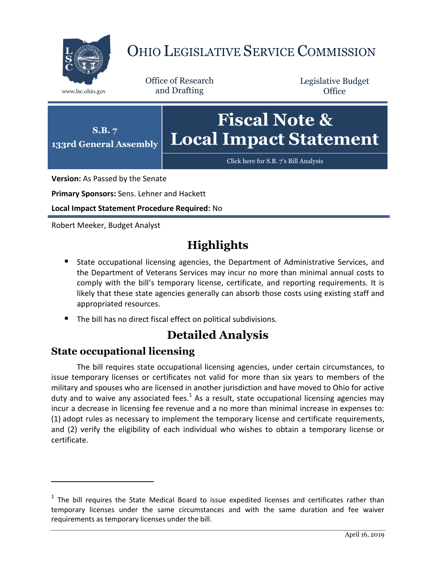

# OHIO LEGISLATIVE SERVICE COMMISSION

Office of Research www.lsc.ohio.gov and Drafting

Legislative Budget **Office** 



**Version:** As Passed by the Senate

**Primary Sponsors:** Sens. Lehner and Hackett

**Local Impact Statement Procedure Required:** No

Robert Meeker, Budget Analyst

## **Highlights**

- State occupational licensing agencies, the Department of Administrative Services, and the Department of Veterans Services may incur no more than minimal annual costs to comply with the bill's temporary license, certificate, and reporting requirements. It is likely that these state agencies generally can absorb those costs using existing staff and appropriated resources.
- The bill has no direct fiscal effect on political subdivisions.

### **Detailed Analysis**

#### **State occupational licensing**

 $\overline{a}$ 

The bill requires state occupational licensing agencies, under certain circumstances, to issue temporary licenses or certificates not valid for more than six years to members of the military and spouses who are licensed in another jurisdiction and have moved to Ohio for active duty and to waive any associated fees. $^1$  As a result, state occupational licensing agencies may incur a decrease in licensing fee revenue and a no more than minimal increase in expenses to: (1) adopt rules as necessary to implement the temporary license and certificate requirements, and (2) verify the eligibility of each individual who wishes to obtain a temporary license or certificate.

 $1$  The bill requires the State Medical Board to issue expedited licenses and certificates rather than temporary licenses under the same circumstances and with the same duration and fee waiver requirements as temporary licenses under the bill.